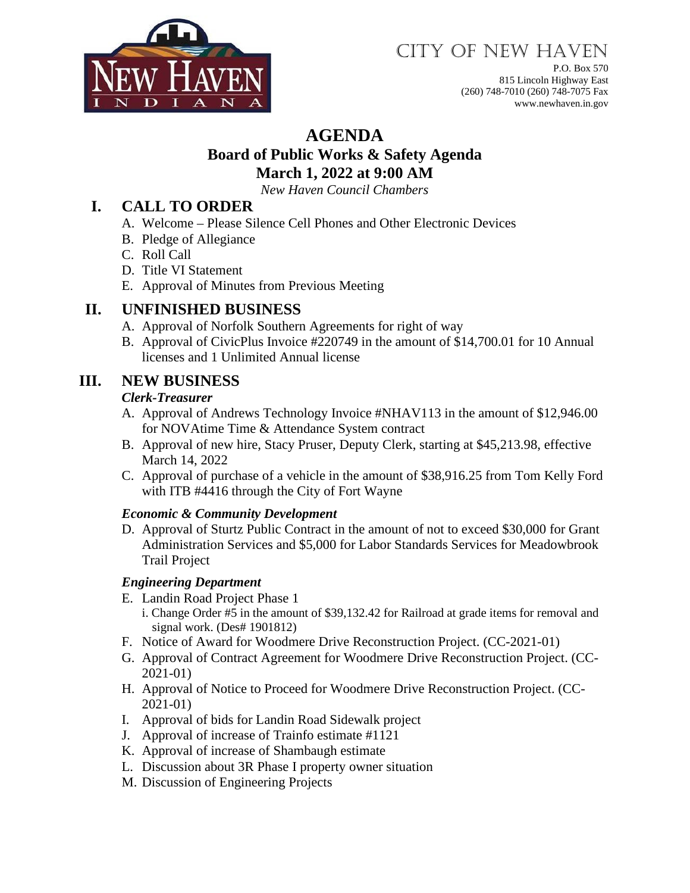

# CITY OF NEW HAVEN

P.O. Box 570 815 Lincoln Highway East (260) 748-7010 (260) 748-7075 Fax www.newhaven.in.gov

# **AGENDA**

### **Board of Public Works & Safety Agenda March 1, 2022 at 9:00 AM**

*New Haven Council Chambers*

# **I. CALL TO ORDER**

- A. Welcome Please Silence Cell Phones and Other Electronic Devices
- B. Pledge of Allegiance
- C. Roll Call
- D. Title VI Statement
- E. Approval of Minutes from Previous Meeting

### **II. UNFINISHED BUSINESS**

- A. Approval of Norfolk Southern Agreements for right of way
- B. Approval of CivicPlus Invoice #220749 in the amount of \$14,700.01 for 10 Annual licenses and 1 Unlimited Annual license

# **III. NEW BUSINESS**

#### *Clerk-Treasurer*

- A. Approval of Andrews Technology Invoice #NHAV113 in the amount of \$12,946.00 for NOVAtime Time & Attendance System contract
- B. Approval of new hire, Stacy Pruser, Deputy Clerk, starting at \$45,213.98, effective March 14, 2022
- C. Approval of purchase of a vehicle in the amount of \$38,916.25 from Tom Kelly Ford with ITB #4416 through the City of Fort Wayne

#### *Economic & Community Development*

D. Approval of Sturtz Public Contract in the amount of not to exceed \$30,000 for Grant Administration Services and \$5,000 for Labor Standards Services for Meadowbrook Trail Project

#### *Engineering Department*

- E. Landin Road Project Phase 1
	- i. Change Order #5 in the amount of \$39,132.42 for Railroad at grade items for removal and signal work. (Des# 1901812)
- F. Notice of Award for Woodmere Drive Reconstruction Project. (CC-2021-01)
- G. Approval of Contract Agreement for Woodmere Drive Reconstruction Project. (CC-2021-01)
- H. Approval of Notice to Proceed for Woodmere Drive Reconstruction Project. (CC-2021-01)
- I. Approval of bids for Landin Road Sidewalk project
- J. Approval of increase of Trainfo estimate #1121
- K. Approval of increase of Shambaugh estimate
- L. Discussion about 3R Phase I property owner situation
- M. Discussion of Engineering Projects